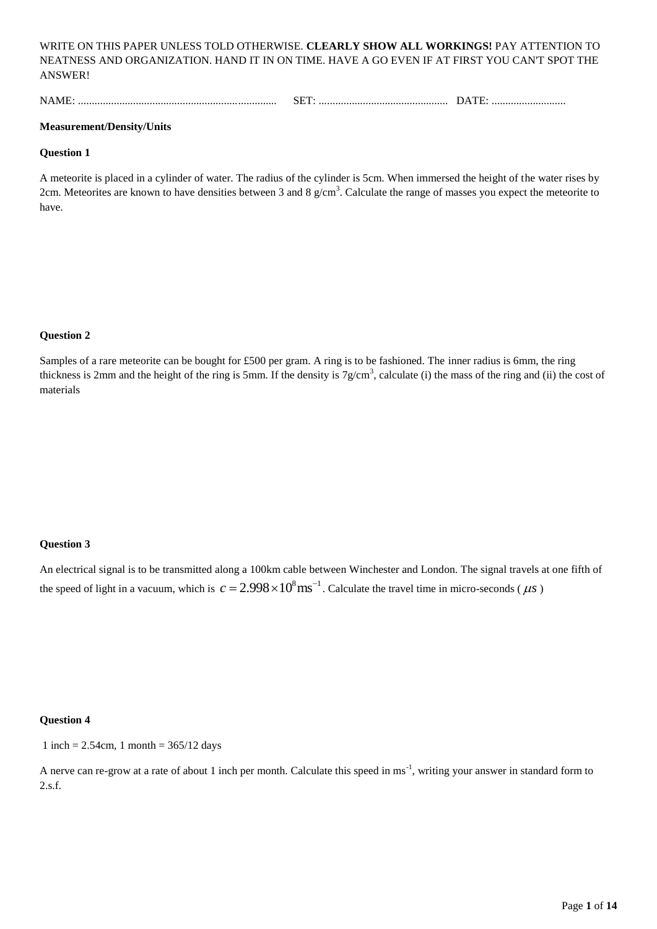WRITE ON THIS PAPER UNLESS TOLD OTHERWISE. **CLEARLY SHOW ALL WORKINGS!** PAY ATTENTION TO NEATNESS AND ORGANIZATION. HAND IT IN ON TIME. HAVE A GO EVEN IF AT FIRST YOU CAN'T SPOT THE ANSWER!

NAME: ........................................................................ SET: ............................................... DATE: ...........................

#### **Measurement/Density/Units**

#### **Question 1**

A meteorite is placed in a cylinder of water. The radius of the cylinder is 5cm. When immersed the height of the water rises by 2cm. Meteorites are known to have densities between 3 and 8  $g/cm<sup>3</sup>$ . Calculate the range of masses you expect the meteorite to have.

## **Question 2**

Samples of a rare meteorite can be bought for £500 per gram. A ring is to be fashioned. The inner radius is 6mm, the ring thickness is 2mm and the height of the ring is 5mm. If the density is  $7g/cm<sup>3</sup>$ , calculate (i) the mass of the ring and (ii) the cost of materials

## **Question 3**

An electrical signal is to be transmitted along a 100km cable between Winchester and London. The signal travels at one fifth of the speed of light in a vacuum, which is  $c = 2.998 \times 10^8 \text{ ms}^{-1}$ . Calculate the travel time in micro-seconds ( $\mu$ s)

#### **Question 4**

1 inch =  $2.54$ cm, 1 month =  $365/12$  days

A nerve can re-grow at a rate of about 1 inch per month. Calculate this speed in ms<sup>-1</sup>, writing your answer in standard form to 2.s.f.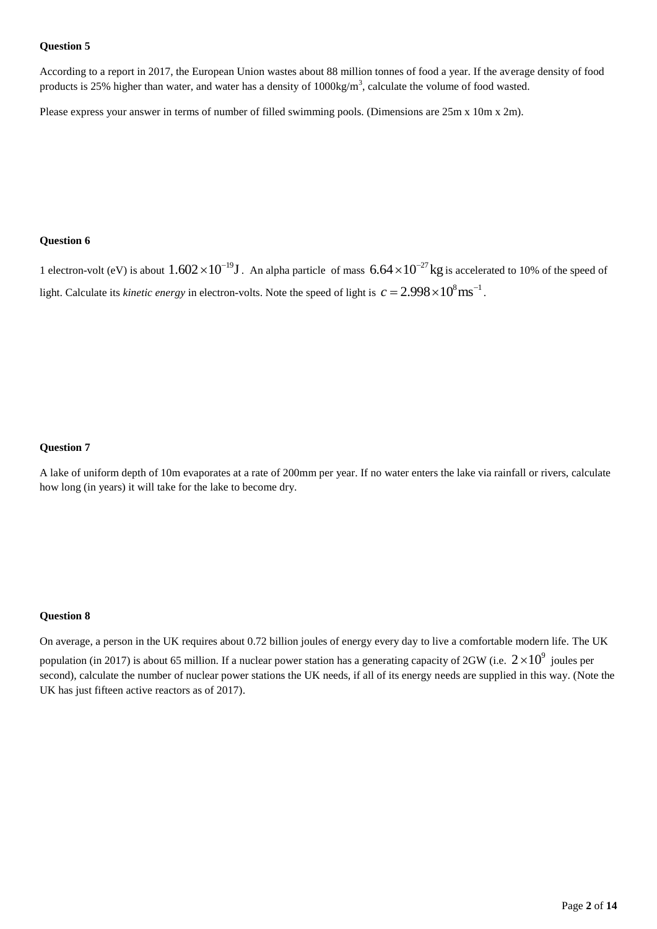According to a report in 2017, the European Union wastes about 88 million tonnes of food a year. If the average density of food products is 25% higher than water, and water has a density of  $1000\text{kg/m}^3$ , calculate the volume of food wasted.

Please express your answer in terms of number of filled swimming pools. (Dimensions are 25m x 10m x 2m).

# **Question 6**

1 electron-volt (eV) is about  $1.602 \times 10^{-19}$  J. An alpha particle of mass  $6.64 \times 10^{-27}$  kg is accelerated to 10% of the speed of light. Calculate its *kinetic energy* in electron-volts. Note the speed of light is  $c = 2.998 \times 10^8 \text{ ms}^{-1}$ .

## **Question 7**

A lake of uniform depth of 10m evaporates at a rate of 200mm per year. If no water enters the lake via rainfall or rivers, calculate how long (in years) it will take for the lake to become dry.

## **Question 8**

On average, a person in the UK requires about 0.72 billion joules of energy every day to live a comfortable modern life. The UK population (in 2017) is about 65 million. If a nuclear power station has a generating capacity of 2GW (i.e.  $2 \times 10^9$  joules per second), calculate the number of nuclear power stations the UK needs, if all of its energy needs are supplied in this way. (Note the UK has just fifteen active reactors as of 2017).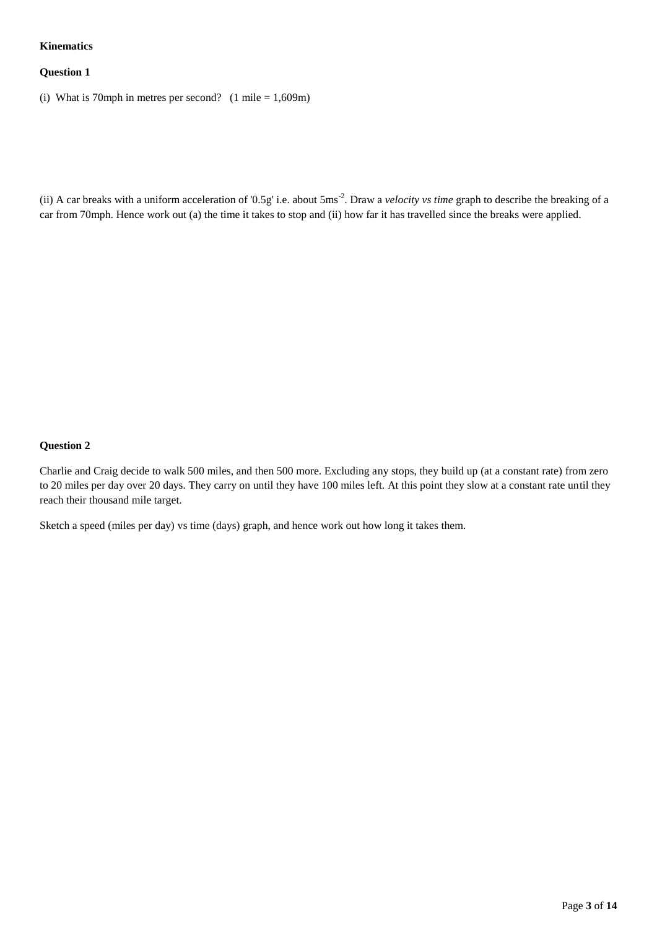# **Kinematics**

## **Question 1**

(i) What is 70mph in metres per second? (1 mile =  $1,609$ m)

(ii) A car breaks with a uniform acceleration of '0.5g' i.e. about 5ms<sup>-2</sup>. Draw a *velocity vs time* graph to describe the breaking of a car from 70mph. Hence work out (a) the time it takes to stop and (ii) how far it has travelled since the breaks were applied.

## **Question 2**

Charlie and Craig decide to walk 500 miles, and then 500 more. Excluding any stops, they build up (at a constant rate) from zero to 20 miles per day over 20 days. They carry on until they have 100 miles left. At this point they slow at a constant rate until they reach their thousand mile target.

Sketch a speed (miles per day) vs time (days) graph, and hence work out how long it takes them.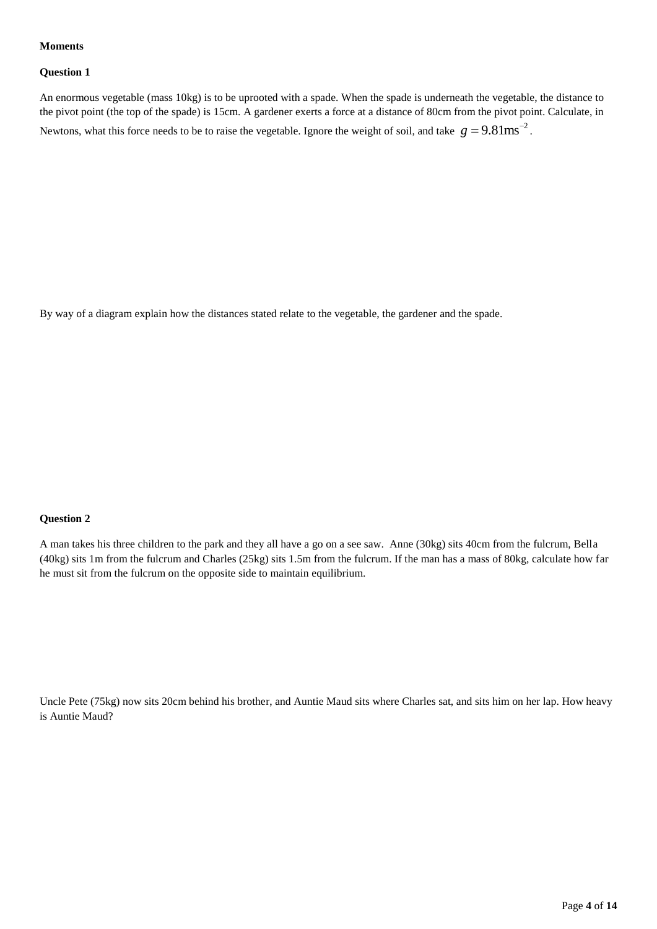#### **Moments**

#### **Question 1**

An enormous vegetable (mass 10kg) is to be uprooted with a spade. When the spade is underneath the vegetable, the distance to the pivot point (the top of the spade) is 15cm. A gardener exerts a force at a distance of 80cm from the pivot point. Calculate, in Newtons, what this force needs to be to raise the vegetable. Ignore the weight of soil, and take  $g = 9.81$ ms<sup>-2</sup>.

By way of a diagram explain how the distances stated relate to the vegetable, the gardener and the spade.

## **Question 2**

A man takes his three children to the park and they all have a go on a see saw. Anne (30kg) sits 40cm from the fulcrum, Bella (40kg) sits 1m from the fulcrum and Charles (25kg) sits 1.5m from the fulcrum. If the man has a mass of 80kg, calculate how far he must sit from the fulcrum on the opposite side to maintain equilibrium.

Uncle Pete (75kg) now sits 20cm behind his brother, and Auntie Maud sits where Charles sat, and sits him on her lap. How heavy is Auntie Maud?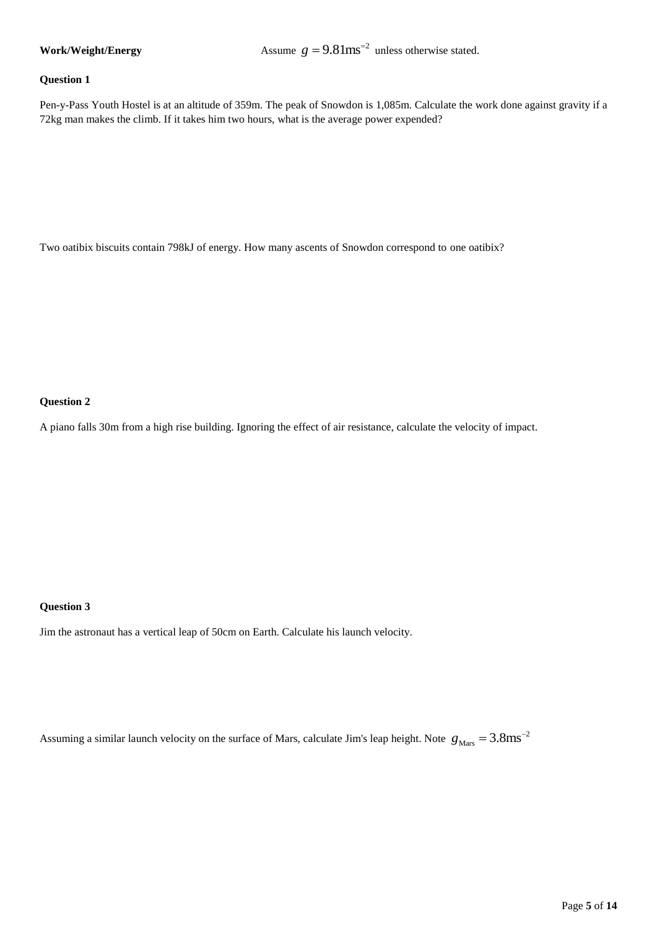#### **Work/Weight/Energy**

 $g = 9.81$ ms<sup> $= 2$ </sup> unless otherwise stated.

#### **Question 1**

Pen-y-Pass Youth Hostel is at an altitude of 359m. The peak of Snowdon is 1,085m. Calculate the work done against gravity if a 72kg man makes the climb. If it takes him two hours, what is the average power expended?

Two oatibix biscuits contain 798kJ of energy. How many ascents of Snowdon correspond to one oatibix?

#### **Question 2**

A piano falls 30m from a high rise building. Ignoring the effect of air resistance, calculate the velocity of impact.

## **Question 3**

Jim the astronaut has a vertical leap of 50cm on Earth. Calculate his launch velocity.

Assuming a similar launch velocity on the surface of Mars, calculate Jim's leap height. Note  $g_{\text{Mars}} = 3.8 \text{ms}^{-2}$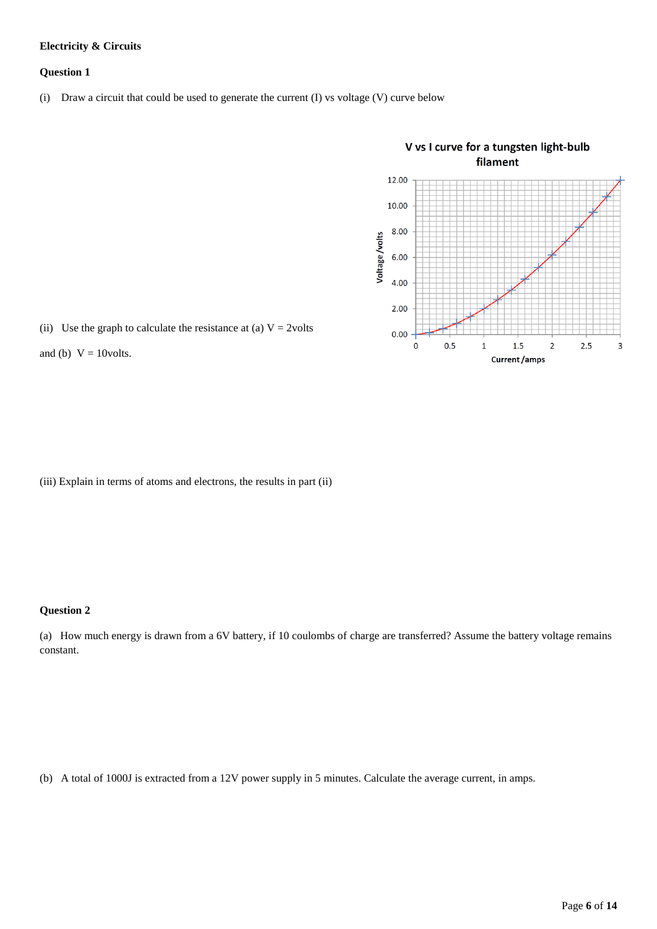## **Electricity & Circuits**

#### **Question 1**

(i) Draw a circuit that could be used to generate the current (I) vs voltage (V) curve below



(ii) Use the graph to calculate the resistance at (a)  $V = 2$ volts

and (b)  $V = 10$ volts.

(iii) Explain in terms of atoms and electrons, the results in part (ii)

# **Question 2**

(a) How much energy is drawn from a 6V battery, if 10 coulombs of charge are transferred? Assume the battery voltage remains constant.

(b) A total of 1000J is extracted from a 12V power supply in 5 minutes. Calculate the average current, in amps.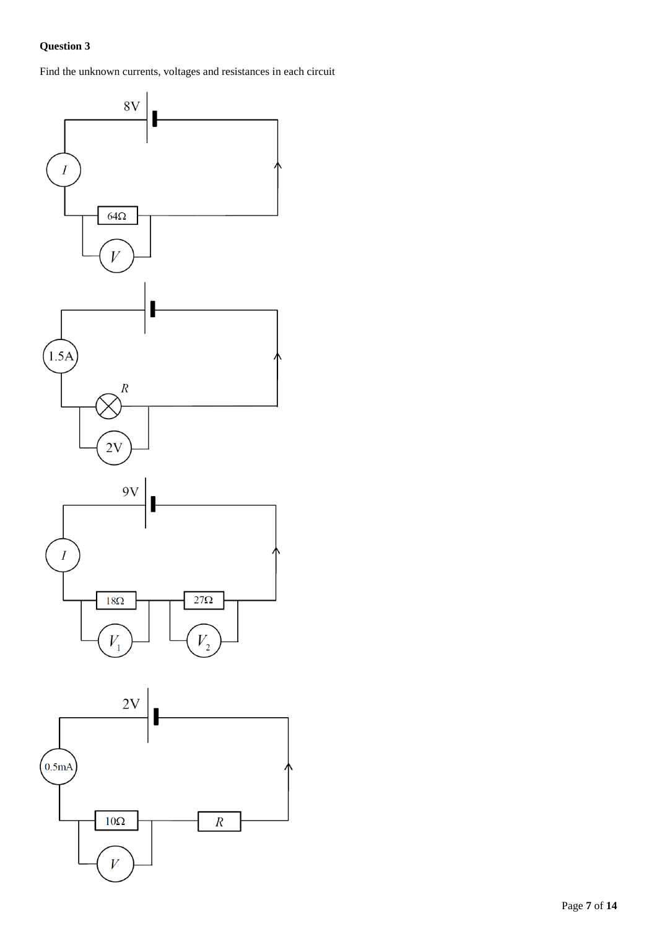Find the unknown currents, voltages and resistances in each circuit

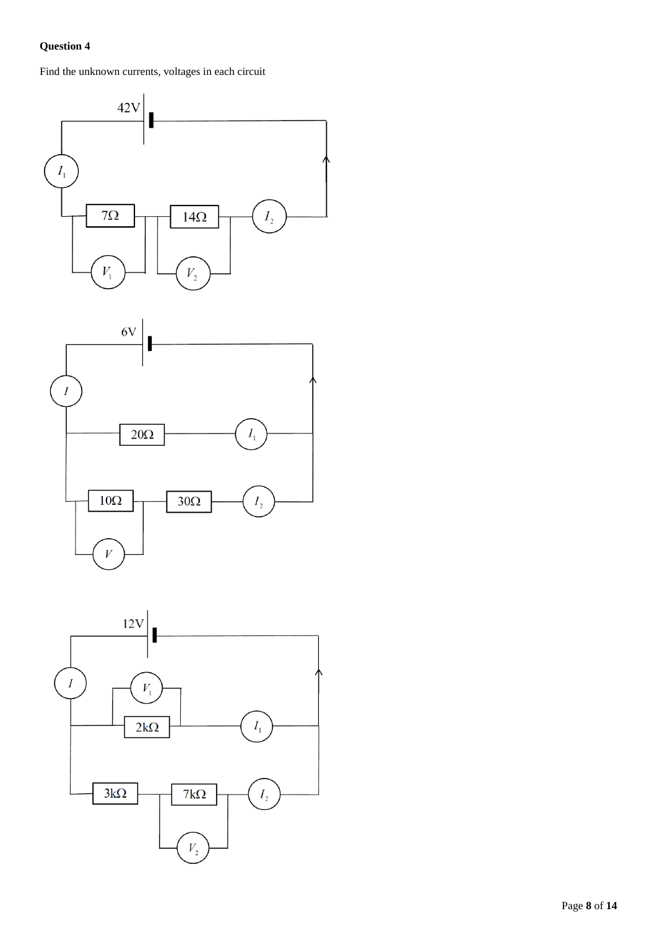Find the unknown currents, voltages in each circuit



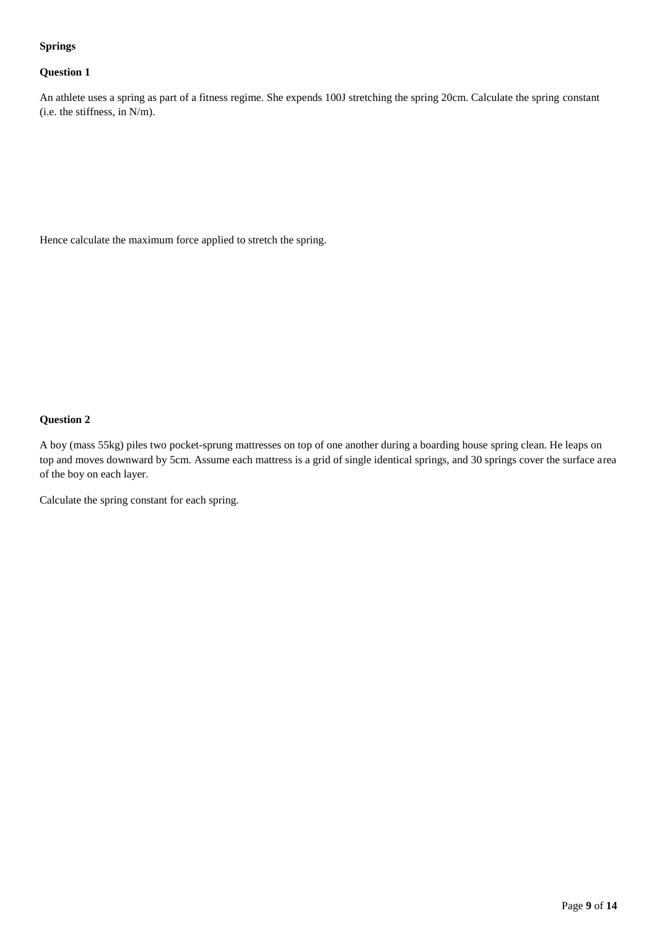## **Springs**

# **Question 1**

An athlete uses a spring as part of a fitness regime. She expends 100J stretching the spring 20cm. Calculate the spring constant (i.e. the stiffness, in N/m).

Hence calculate the maximum force applied to stretch the spring.

# **Question 2**

A boy (mass 55kg) piles two pocket-sprung mattresses on top of one another during a boarding house spring clean. He leaps on top and moves downward by 5cm. Assume each mattress is a grid of single identical springs, and 30 springs cover the surface area of the boy on each layer.

Calculate the spring constant for each spring.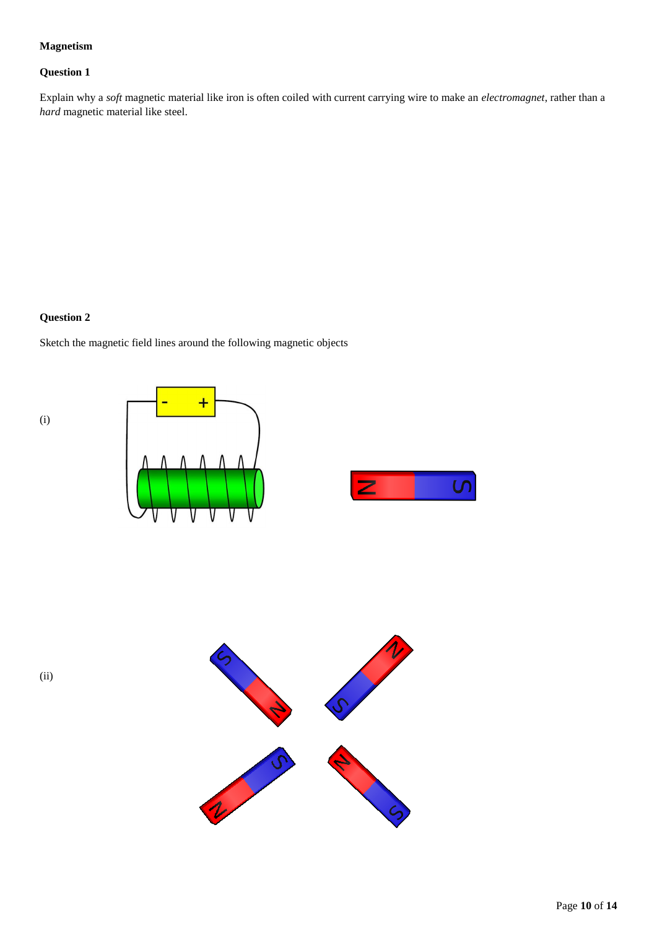# **Magnetism**

# **Question 1**

Explain why a *soft* magnetic material like iron is often coiled with current carrying wire to make an *electromagnet*, rather than a *hard* magnetic material like steel.

# **Question 2**

(i)

Sketch the magnetic field lines around the following magnetic objects





(ii)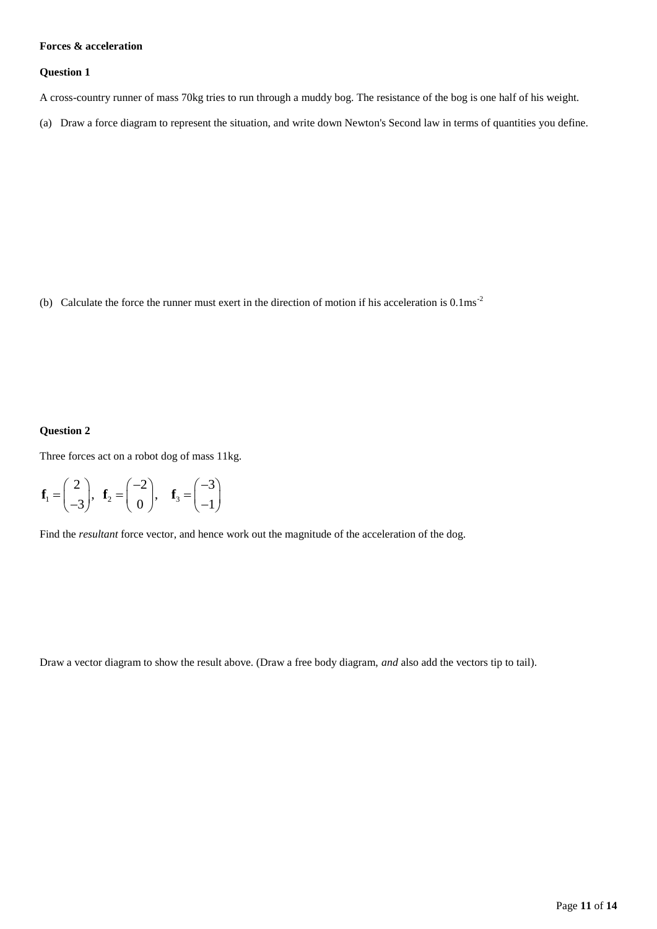## **Forces & acceleration**

#### **Question 1**

A cross-country runner of mass 70kg tries to run through a muddy bog. The resistance of the bog is one half of his weight.

(a) Draw a force diagram to represent the situation, and write down Newton's Second law in terms of quantities you define.

(b) Calculate the force the runner must exert in the direction of motion if his acceleration is 0.1ms-2

## **Question 2**

Three forces act on a robot dog of mass 11kg.

$$
\mathbf{f}_1 = \begin{pmatrix} 2 \\ -3 \end{pmatrix}, \quad \mathbf{f}_2 = \begin{pmatrix} -2 \\ 0 \end{pmatrix}, \quad \mathbf{f}_3 = \begin{pmatrix} -3 \\ -1 \end{pmatrix}
$$

Find the *resultant* force vector, and hence work out the magnitude of the acceleration of the dog.

Draw a vector diagram to show the result above. (Draw a free body diagram, *and* also add the vectors tip to tail).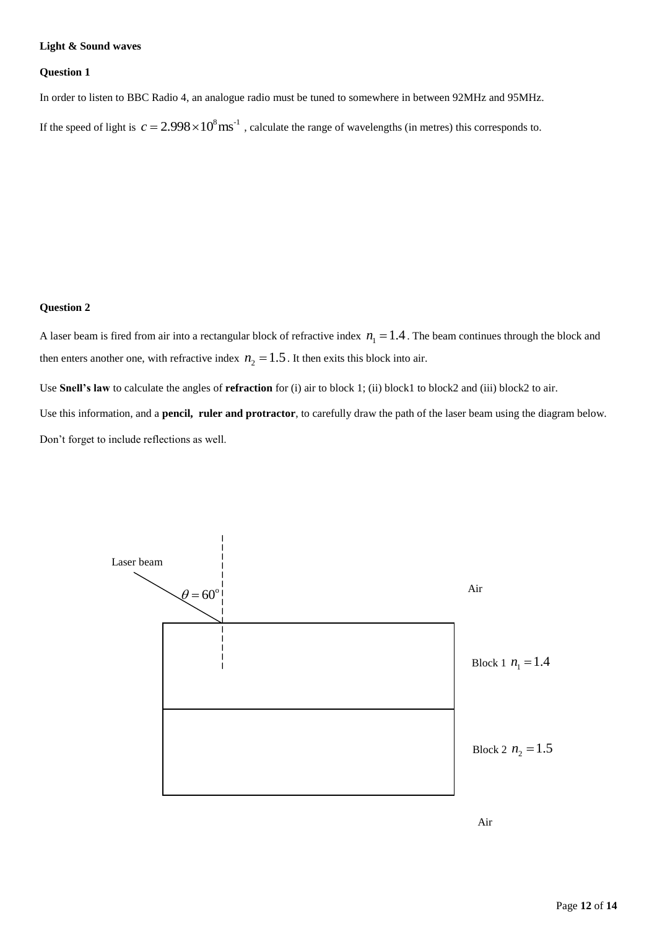### **Light & Sound waves**

#### **Question 1**

In order to listen to BBC Radio 4, an analogue radio must be tuned to somewhere in between 92MHz and 95MHz.

If the speed of light is  $c = 2.998 \times 10^8 \text{ ms}^{-1}$ , calculate the range of wavelengths (in metres) this corresponds to.

# **Question 2**

A laser beam is fired from air into a rectangular block of refractive index  $n_1 = 1.4$ . The beam continues through the block and then enters another one, with refractive index  $n_2 = 1.5$ . It then exits this block into air.

Use **Snell's law** to calculate the angles of **refraction** for (i) air to block 1; (ii) block1 to block2 and (iii) block2 to air.

Use this information, and a **pencil, ruler and protractor**, to carefully draw the path of the laser beam using the diagram below. Don't forget to include reflections as well.



Air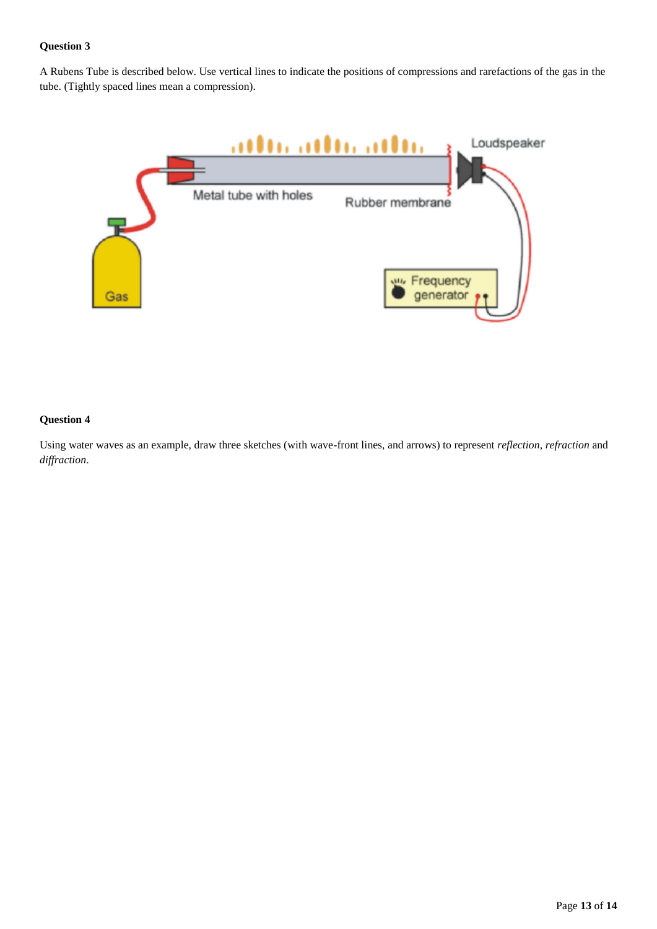A Rubens Tube is described below. Use vertical lines to indicate the positions of compressions and rarefactions of the gas in the tube. (Tightly spaced lines mean a compression).



#### **Question 4**

Using water waves as an example, draw three sketches (with wave-front lines, and arrows) to represent *reflection*, *refraction* and *diffraction*.